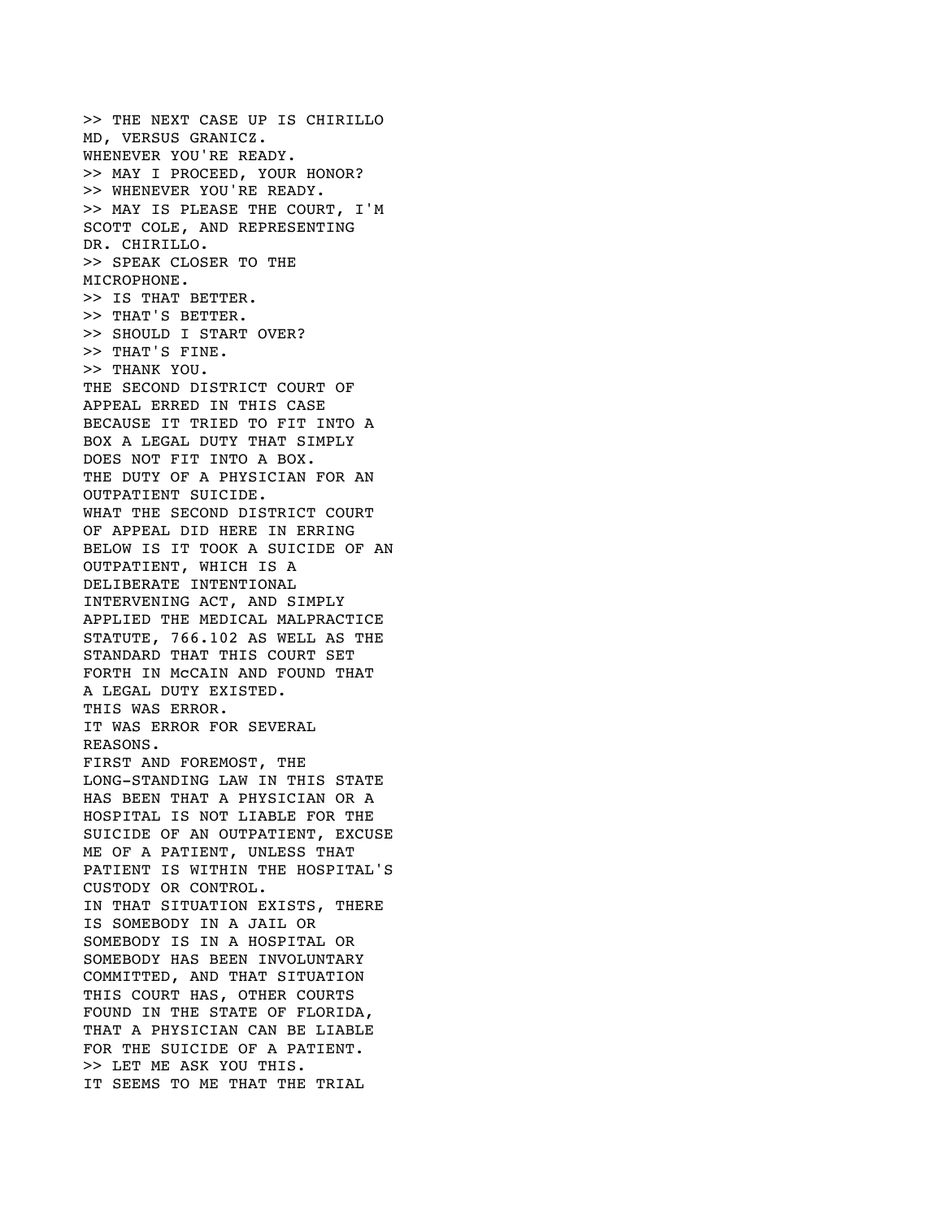>> THE NEXT CASE UP IS CHIRILLO MD, VERSUS GRANICZ. WHENEVER YOU'RE READY. >> MAY I PROCEED, YOUR HONOR? >> WHENEVER YOU'RE READY. >> MAY IS PLEASE THE COURT, I'M SCOTT COLE, AND REPRESENTING DR. CHIRILLO. >> SPEAK CLOSER TO THE MICROPHONE. >> IS THAT BETTER. >> THAT'S BETTER. >> SHOULD I START OVER? >> THAT'S FINE. >> THANK YOU. THE SECOND DISTRICT COURT OF APPEAL ERRED IN THIS CASE BECAUSE IT TRIED TO FIT INTO A BOX A LEGAL DUTY THAT SIMPLY DOES NOT FIT INTO A BOX. THE DUTY OF A PHYSICIAN FOR AN OUTPATIENT SUICIDE. WHAT THE SECOND DISTRICT COURT OF APPEAL DID HERE IN ERRING BELOW IS IT TOOK A SUICIDE OF AN OUTPATIENT, WHICH IS A DELIBERATE INTENTIONAL INTERVENING ACT, AND SIMPLY APPLIED THE MEDICAL MALPRACTICE STATUTE, 766.102 AS WELL AS THE STANDARD THAT THIS COURT SET FORTH IN McCAIN AND FOUND THAT A LEGAL DUTY EXISTED. THIS WAS ERROR. IT WAS ERROR FOR SEVERAL REASONS. FIRST AND FOREMOST, THE LONG-STANDING LAW IN THIS STATE HAS BEEN THAT A PHYSICIAN OR A HOSPITAL IS NOT LIABLE FOR THE SUICIDE OF AN OUTPATIENT, EXCUSE ME OF A PATIENT, UNLESS THAT PATIENT IS WITHIN THE HOSPITAL'S CUSTODY OR CONTROL. IN THAT SITUATION EXISTS, THERE IS SOMEBODY IN A JAIL OR SOMEBODY IS IN A HOSPITAL OR SOMEBODY HAS BEEN INVOLUNTARY COMMITTED, AND THAT SITUATION THIS COURT HAS, OTHER COURTS FOUND IN THE STATE OF FLORIDA, THAT A PHYSICIAN CAN BE LIABLE FOR THE SUICIDE OF A PATIENT. >> LET ME ASK YOU THIS. IT SEEMS TO ME THAT THE TRIAL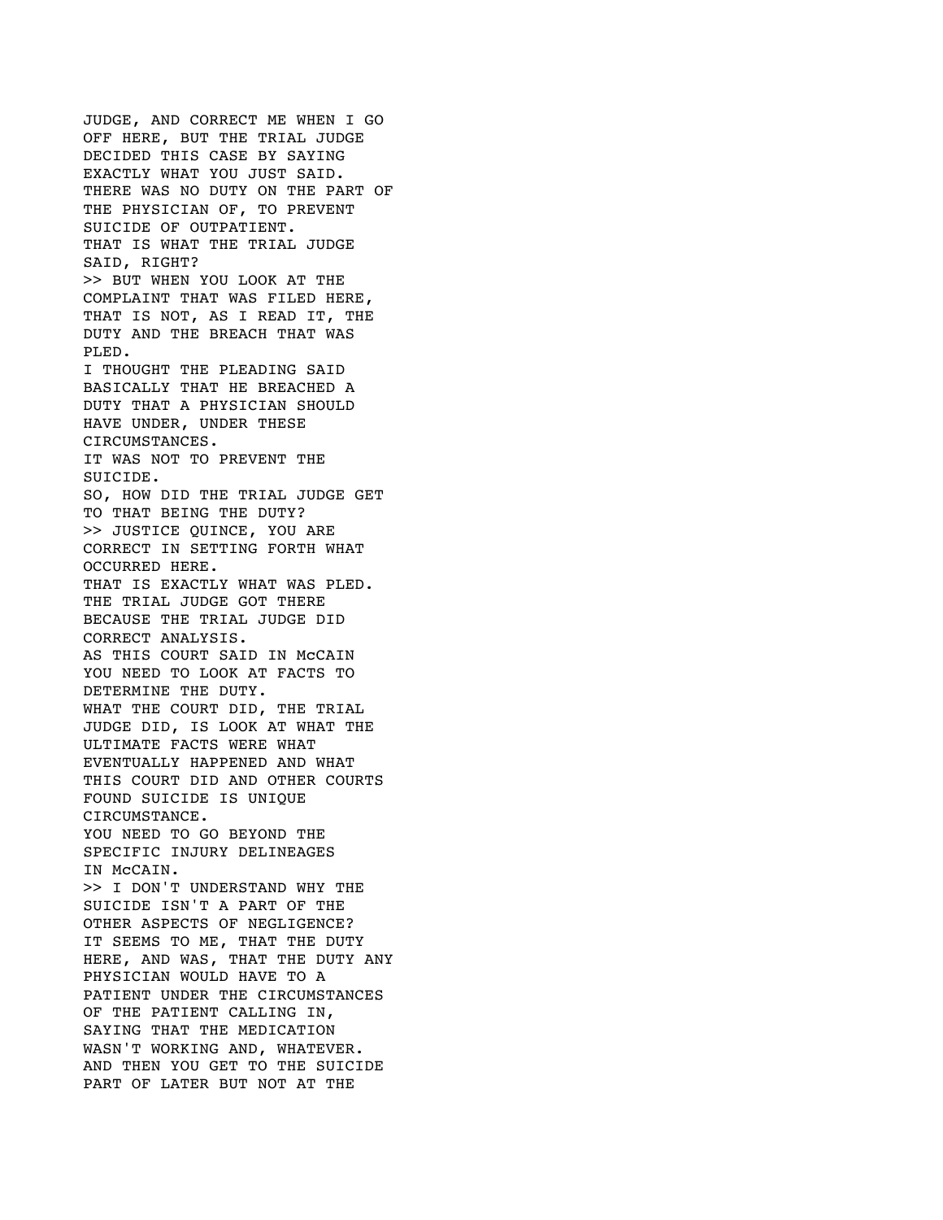JUDGE, AND CORRECT ME WHEN I GO OFF HERE, BUT THE TRIAL JUDGE DECIDED THIS CASE BY SAYING EXACTLY WHAT YOU JUST SAID. THERE WAS NO DUTY ON THE PART OF THE PHYSICIAN OF, TO PREVENT SUICIDE OF OUTPATIENT. THAT IS WHAT THE TRIAL JUDGE SAID, RIGHT? >> BUT WHEN YOU LOOK AT THE COMPLAINT THAT WAS FILED HERE, THAT IS NOT, AS I READ IT, THE DUTY AND THE BREACH THAT WAS PLED. I THOUGHT THE PLEADING SAID BASICALLY THAT HE BREACHED A DUTY THAT A PHYSICIAN SHOULD HAVE UNDER, UNDER THESE CIRCUMSTANCES. IT WAS NOT TO PREVENT THE SUICIDE. SO, HOW DID THE TRIAL JUDGE GET TO THAT BEING THE DUTY? >> JUSTICE QUINCE, YOU ARE CORRECT IN SETTING FORTH WHAT OCCURRED HERE. THAT IS EXACTLY WHAT WAS PLED. THE TRIAL JUDGE GOT THERE BECAUSE THE TRIAL JUDGE DID CORRECT ANALYSIS. AS THIS COURT SAID IN McCAIN YOU NEED TO LOOK AT FACTS TO DETERMINE THE DUTY. WHAT THE COURT DID, THE TRIAL JUDGE DID, IS LOOK AT WHAT THE ULTIMATE FACTS WERE WHAT EVENTUALLY HAPPENED AND WHAT THIS COURT DID AND OTHER COURTS FOUND SUICIDE IS UNIQUE CIRCUMSTANCE. YOU NEED TO GO BEYOND THE SPECIFIC INJURY DELINEAGES IN McCAIN. >> I DON'T UNDERSTAND WHY THE SUICIDE ISN'T A PART OF THE OTHER ASPECTS OF NEGLIGENCE? IT SEEMS TO ME, THAT THE DUTY HERE, AND WAS, THAT THE DUTY ANY PHYSICIAN WOULD HAVE TO A PATIENT UNDER THE CIRCUMSTANCES OF THE PATIENT CALLING IN, SAYING THAT THE MEDICATION WASN'T WORKING AND, WHATEVER. AND THEN YOU GET TO THE SUICIDE PART OF LATER BUT NOT AT THE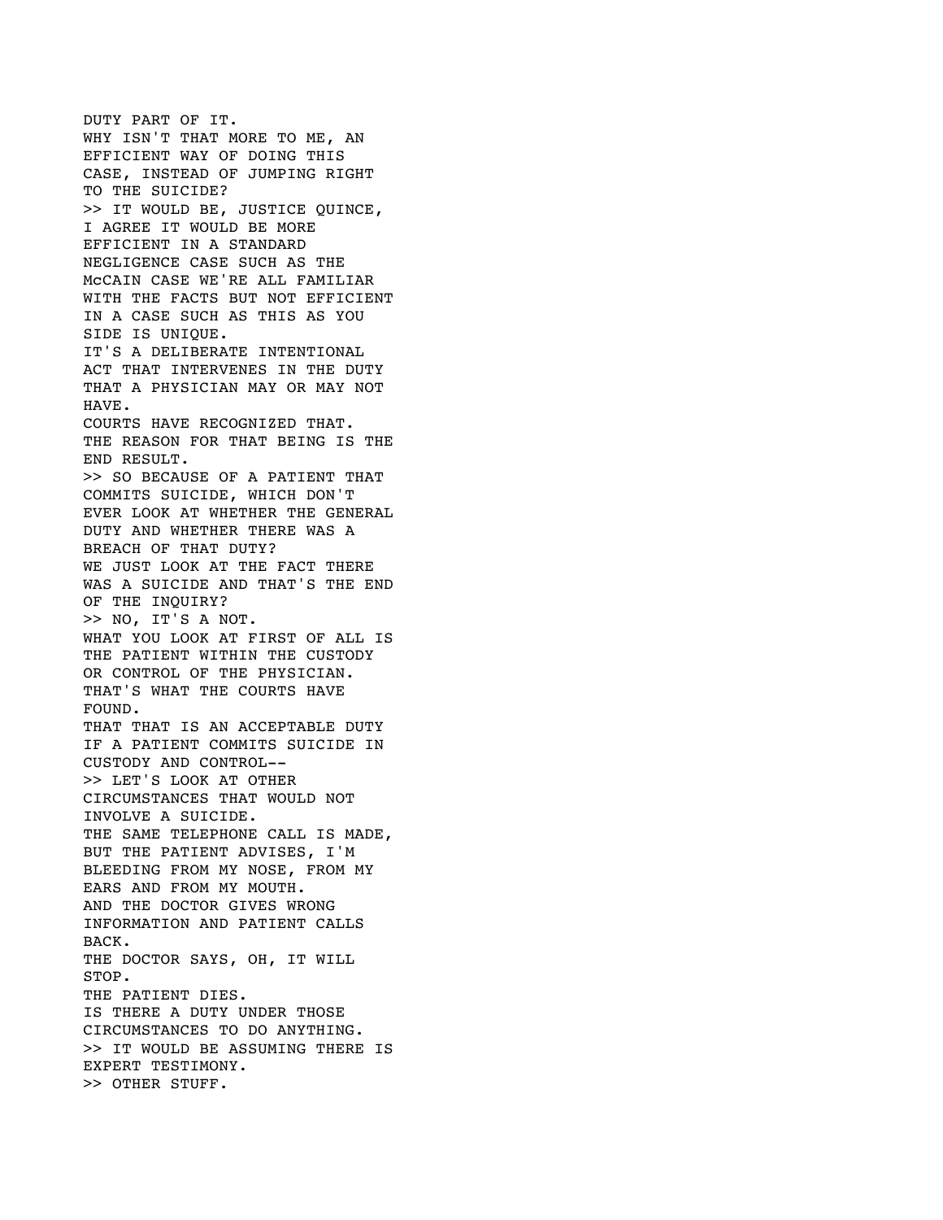DUTY PART OF IT. WHY ISN'T THAT MORE TO ME, AN EFFICIENT WAY OF DOING THIS CASE, INSTEAD OF JUMPING RIGHT TO THE SUICIDE? >> IT WOULD BE, JUSTICE QUINCE, I AGREE IT WOULD BE MORE EFFICIENT IN A STANDARD NEGLIGENCE CASE SUCH AS THE McCAIN CASE WE'RE ALL FAMILIAR WITH THE FACTS BUT NOT EFFICIENT IN A CASE SUCH AS THIS AS YOU SIDE IS UNIQUE. IT'S A DELIBERATE INTENTIONAL ACT THAT INTERVENES IN THE DUTY THAT A PHYSICIAN MAY OR MAY NOT HAVE. COURTS HAVE RECOGNIZED THAT. THE REASON FOR THAT BEING IS THE END RESULT. >> SO BECAUSE OF A PATIENT THAT COMMITS SUICIDE, WHICH DON'T EVER LOOK AT WHETHER THE GENERAL DUTY AND WHETHER THERE WAS A BREACH OF THAT DUTY? WE JUST LOOK AT THE FACT THERE WAS A SUICIDE AND THAT'S THE END OF THE INQUIRY? >> NO, IT'S A NOT. WHAT YOU LOOK AT FIRST OF ALL IS THE PATIENT WITHIN THE CUSTODY OR CONTROL OF THE PHYSICIAN. THAT'S WHAT THE COURTS HAVE FOUND. THAT THAT IS AN ACCEPTABLE DUTY IF A PATIENT COMMITS SUICIDE IN CUSTODY AND CONTROL-- >> LET'S LOOK AT OTHER CIRCUMSTANCES THAT WOULD NOT INVOLVE A SUICIDE. THE SAME TELEPHONE CALL IS MADE, BUT THE PATIENT ADVISES, I'M BLEEDING FROM MY NOSE, FROM MY EARS AND FROM MY MOUTH. AND THE DOCTOR GIVES WRONG INFORMATION AND PATIENT CALLS BACK. THE DOCTOR SAYS, OH, IT WILL STOP. THE PATIENT DIES. IS THERE A DUTY UNDER THOSE CIRCUMSTANCES TO DO ANYTHING. >> IT WOULD BE ASSUMING THERE IS EXPERT TESTIMONY. >> OTHER STUFF.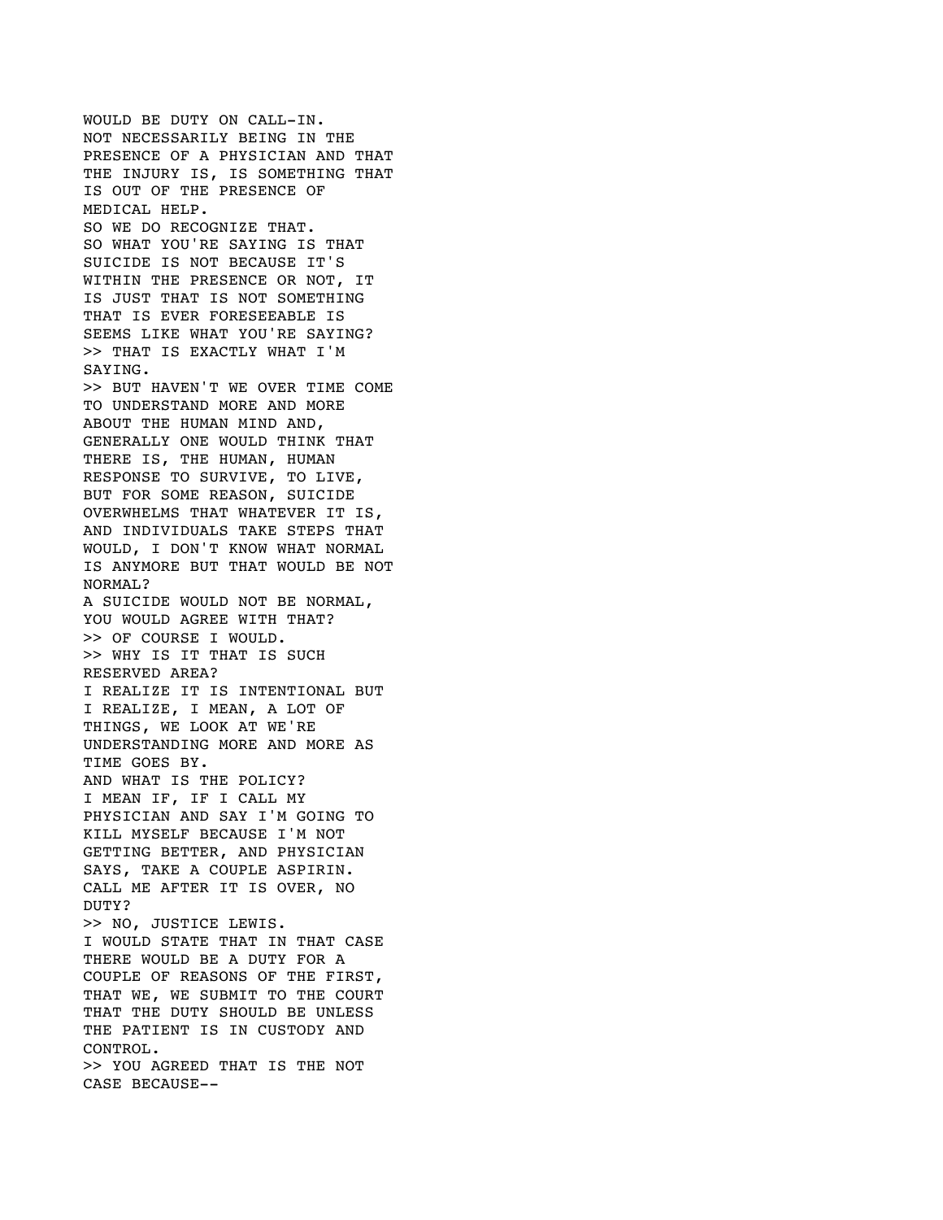WOULD BE DUTY ON CALL-IN. NOT NECESSARILY BEING IN THE PRESENCE OF A PHYSICIAN AND THAT THE INJURY IS, IS SOMETHING THAT IS OUT OF THE PRESENCE OF MEDICAL HELP. SO WE DO RECOGNIZE THAT. SO WHAT YOU'RE SAYING IS THAT SUICIDE IS NOT BECAUSE IT'S WITHIN THE PRESENCE OR NOT, IT IS JUST THAT IS NOT SOMETHING THAT IS EVER FORESEEABLE IS SEEMS LIKE WHAT YOU'RE SAYING? >> THAT IS EXACTLY WHAT I'M SAYING. >> BUT HAVEN'T WE OVER TIME COME TO UNDERSTAND MORE AND MORE ABOUT THE HUMAN MIND AND, GENERALLY ONE WOULD THINK THAT THERE IS, THE HUMAN, HUMAN RESPONSE TO SURVIVE, TO LIVE, BUT FOR SOME REASON, SUICIDE OVERWHELMS THAT WHATEVER IT IS, AND INDIVIDUALS TAKE STEPS THAT WOULD, I DON'T KNOW WHAT NORMAL IS ANYMORE BUT THAT WOULD BE NOT NORMAL? A SUICIDE WOULD NOT BE NORMAL, YOU WOULD AGREE WITH THAT? >> OF COURSE I WOULD. >> WHY IS IT THAT IS SUCH RESERVED AREA? I REALIZE IT IS INTENTIONAL BUT I REALIZE, I MEAN, A LOT OF THINGS, WE LOOK AT WE'RE UNDERSTANDING MORE AND MORE AS TIME GOES BY. AND WHAT IS THE POLICY? I MEAN IF, IF I CALL MY PHYSICIAN AND SAY I'M GOING TO KILL MYSELF BECAUSE I'M NOT GETTING BETTER, AND PHYSICIAN SAYS, TAKE A COUPLE ASPIRIN. CALL ME AFTER IT IS OVER, NO DUTY? >> NO, JUSTICE LEWIS. I WOULD STATE THAT IN THAT CASE THERE WOULD BE A DUTY FOR A COUPLE OF REASONS OF THE FIRST, THAT WE, WE SUBMIT TO THE COURT THAT THE DUTY SHOULD BE UNLESS THE PATIENT IS IN CUSTODY AND CONTROL. >> YOU AGREED THAT IS THE NOT CASE BECAUSE--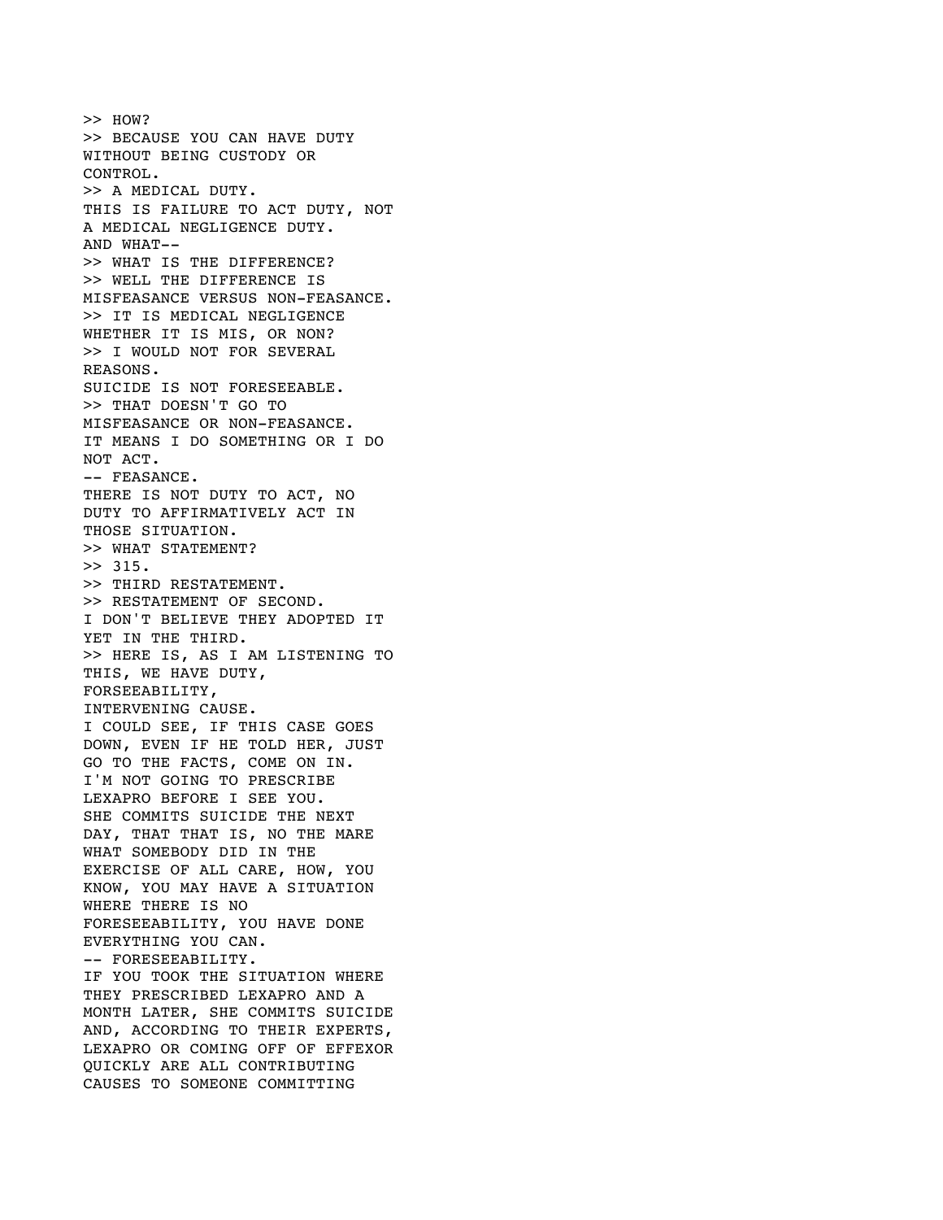>> HOW? >> BECAUSE YOU CAN HAVE DUTY WITHOUT BEING CUSTODY OR CONTROL. >> A MEDICAL DUTY. THIS IS FAILURE TO ACT DUTY, NOT A MEDICAL NEGLIGENCE DUTY. AND WHAT-- >> WHAT IS THE DIFFERENCE? >> WELL THE DIFFERENCE IS MISFEASANCE VERSUS NON-FEASANCE. >> IT IS MEDICAL NEGLIGENCE WHETHER IT IS MIS, OR NON? >> I WOULD NOT FOR SEVERAL REASONS. SUICIDE IS NOT FORESEEABLE. >> THAT DOESN'T GO TO MISFEASANCE OR NON-FEASANCE. IT MEANS I DO SOMETHING OR I DO NOT ACT. -- FEASANCE. THERE IS NOT DUTY TO ACT, NO DUTY TO AFFIRMATIVELY ACT IN THOSE SITUATION. >> WHAT STATEMENT?  $>> 315.$ >> THIRD RESTATEMENT. >> RESTATEMENT OF SECOND. I DON'T BELIEVE THEY ADOPTED IT YET IN THE THIRD. >> HERE IS, AS I AM LISTENING TO THIS, WE HAVE DUTY, FORSEEABILITY, INTERVENING CAUSE. I COULD SEE, IF THIS CASE GOES DOWN, EVEN IF HE TOLD HER, JUST GO TO THE FACTS, COME ON IN. I'M NOT GOING TO PRESCRIBE LEXAPRO BEFORE I SEE YOU. SHE COMMITS SUICIDE THE NEXT DAY, THAT THAT IS, NO THE MARE WHAT SOMEBODY DID IN THE EXERCISE OF ALL CARE, HOW, YOU KNOW, YOU MAY HAVE A SITUATION WHERE THERE IS NO FORESEEABILITY, YOU HAVE DONE EVERYTHING YOU CAN. -- FORESEEABILITY. IF YOU TOOK THE SITUATION WHERE THEY PRESCRIBED LEXAPRO AND A MONTH LATER, SHE COMMITS SUICIDE AND, ACCORDING TO THEIR EXPERTS, LEXAPRO OR COMING OFF OF EFFEXOR QUICKLY ARE ALL CONTRIBUTING CAUSES TO SOMEONE COMMITTING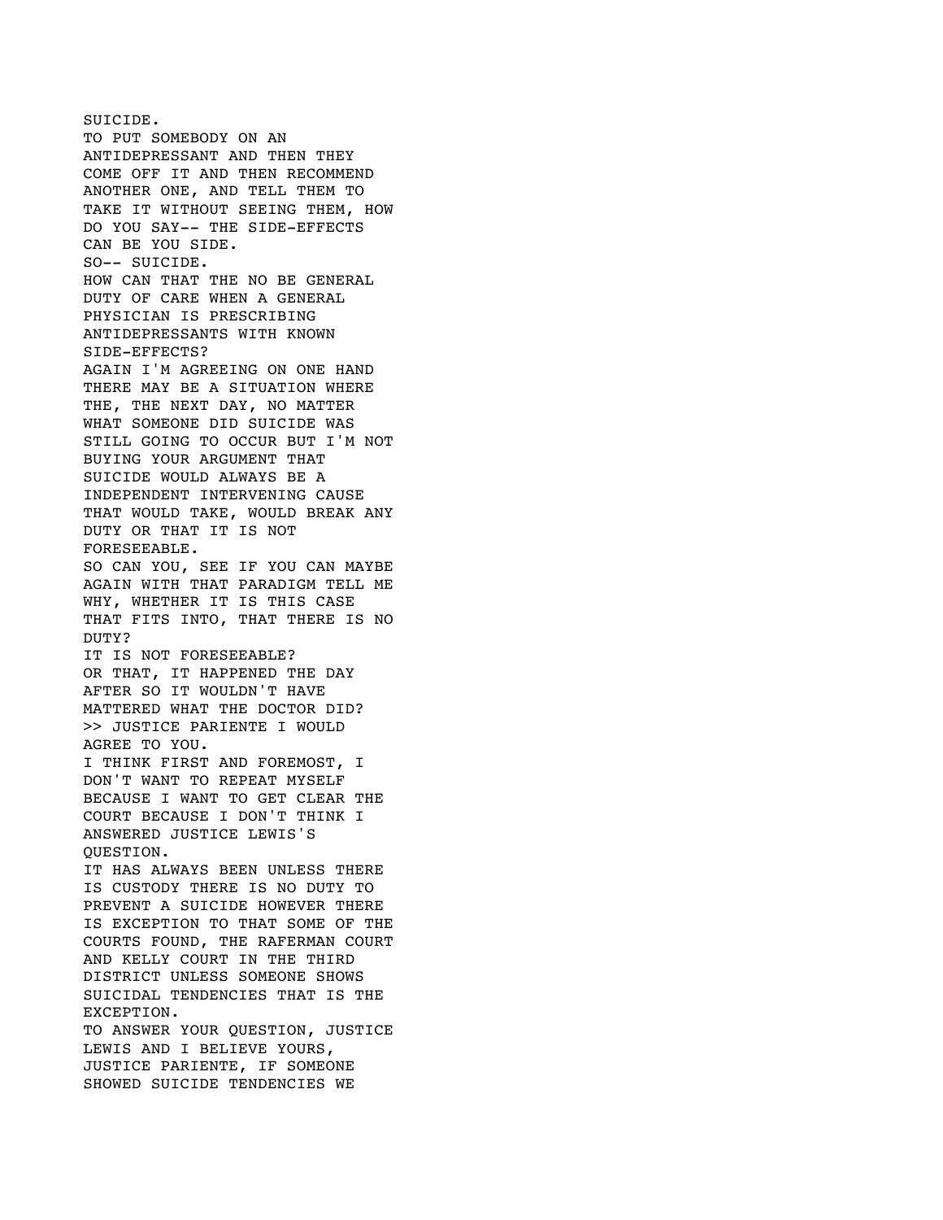SUICIDE. TO PUT SOMEBODY ON AN ANTIDEPRESSANT AND THEN THEY COME OFF IT AND THEN RECOMMEND ANOTHER ONE, AND TELL THEM TO TAKE IT WITHOUT SEEING THEM, HOW DO YOU SAY-- THE SIDE-EFFECTS CAN BE YOU SIDE. SO-- SUICIDE. HOW CAN THAT THE NO BE GENERAL DUTY OF CARE WHEN A GENERAL PHYSICIAN IS PRESCRIBING ANTIDEPRESSANTS WITH KNOWN SIDE-EFFECTS? AGAIN I'M AGREEING ON ONE HAND THERE MAY BE A SITUATION WHERE THE, THE NEXT DAY, NO MATTER WHAT SOMEONE DID SUICIDE WAS STILL GOING TO OCCUR BUT I'M NOT BUYING YOUR ARGUMENT THAT SUICIDE WOULD ALWAYS BE A INDEPENDENT INTERVENING CAUSE THAT WOULD TAKE, WOULD BREAK ANY DUTY OR THAT IT IS NOT FORESEEABLE. SO CAN YOU, SEE IF YOU CAN MAYBE AGAIN WITH THAT PARADIGM TELL ME WHY, WHETHER IT IS THIS CASE THAT FITS INTO, THAT THERE IS NO DUTY? IT IS NOT FORESEEABLE? OR THAT, IT HAPPENED THE DAY AFTER SO IT WOULDN'T HAVE MATTERED WHAT THE DOCTOR DID? >> JUSTICE PARIENTE I WOULD AGREE TO YOU. I THINK FIRST AND FOREMOST, I DON'T WANT TO REPEAT MYSELF BECAUSE I WANT TO GET CLEAR THE COURT BECAUSE I DON'T THINK I ANSWERED JUSTICE LEWIS'S QUESTION. IT HAS ALWAYS BEEN UNLESS THERE IS CUSTODY THERE IS NO DUTY TO PREVENT A SUICIDE HOWEVER THERE IS EXCEPTION TO THAT SOME OF THE COURTS FOUND, THE RAFERMAN COURT AND KELLY COURT IN THE THIRD DISTRICT UNLESS SOMEONE SHOWS SUICIDAL TENDENCIES THAT IS THE EXCEPTION. TO ANSWER YOUR QUESTION, JUSTICE LEWIS AND I BELIEVE YOURS, JUSTICE PARIENTE, IF SOMEONE SHOWED SUICIDE TENDENCIES WE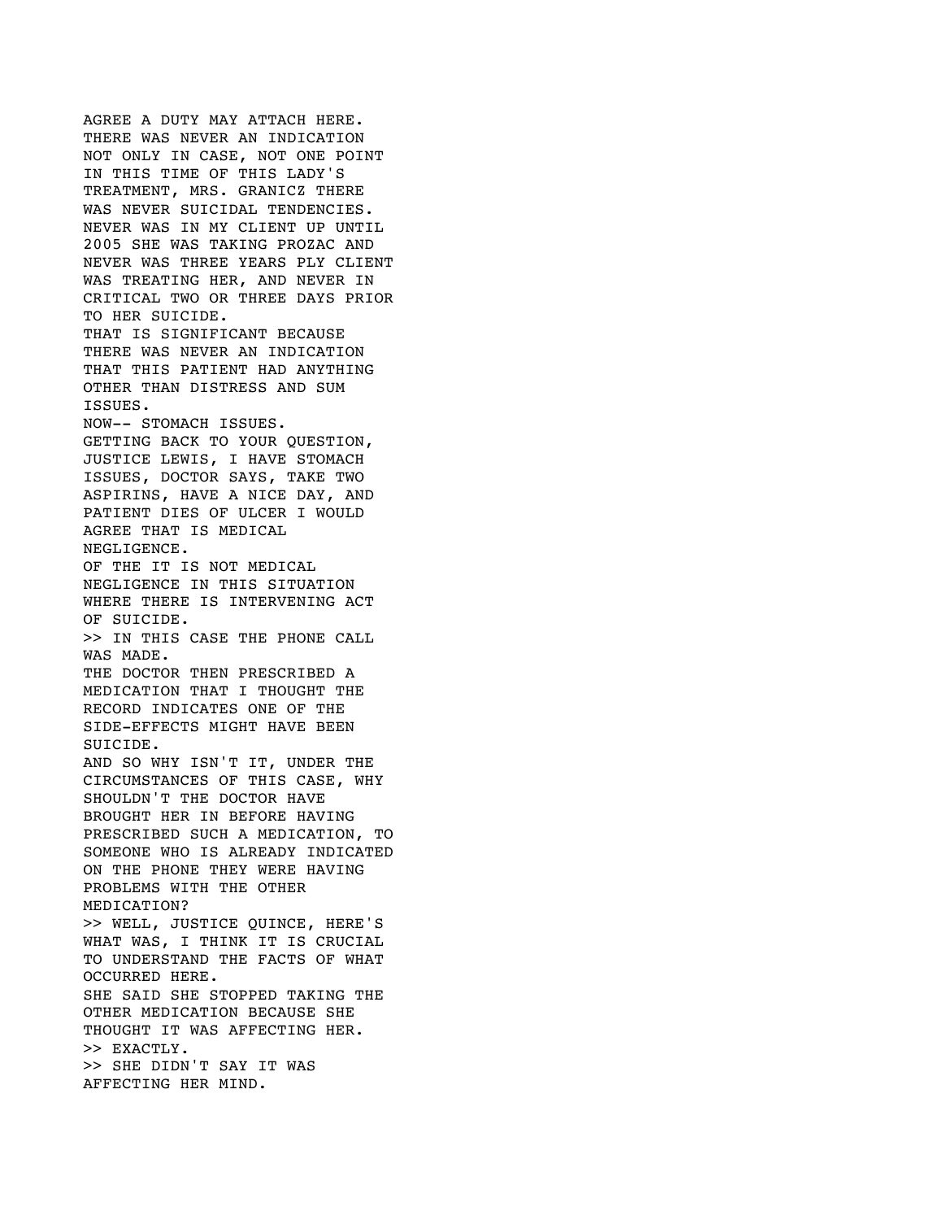AGREE A DUTY MAY ATTACH HERE. THERE WAS NEVER AN INDICATION NOT ONLY IN CASE, NOT ONE POINT IN THIS TIME OF THIS LADY'S TREATMENT, MRS. GRANICZ THERE WAS NEVER SUICIDAL TENDENCIES. NEVER WAS IN MY CLIENT UP UNTIL 2005 SHE WAS TAKING PROZAC AND NEVER WAS THREE YEARS PLY CLIENT WAS TREATING HER, AND NEVER IN CRITICAL TWO OR THREE DAYS PRIOR TO HER SUICIDE. THAT IS SIGNIFICANT BECAUSE THERE WAS NEVER AN INDICATION THAT THIS PATIENT HAD ANYTHING OTHER THAN DISTRESS AND SUM ISSUES. NOW-- STOMACH ISSUES. GETTING BACK TO YOUR QUESTION, JUSTICE LEWIS, I HAVE STOMACH ISSUES, DOCTOR SAYS, TAKE TWO ASPIRINS, HAVE A NICE DAY, AND PATIENT DIES OF ULCER I WOULD AGREE THAT IS MEDICAL NEGLIGENCE. OF THE IT IS NOT MEDICAL NEGLIGENCE IN THIS SITUATION WHERE THERE IS INTERVENING ACT OF SUICIDE. >> IN THIS CASE THE PHONE CALL WAS MADE. THE DOCTOR THEN PRESCRIBED A MEDICATION THAT I THOUGHT THE RECORD INDICATES ONE OF THE SIDE-EFFECTS MIGHT HAVE BEEN SUICIDE. AND SO WHY ISN'T IT, UNDER THE CIRCUMSTANCES OF THIS CASE, WHY SHOULDN'T THE DOCTOR HAVE BROUGHT HER IN BEFORE HAVING PRESCRIBED SUCH A MEDICATION, TO SOMEONE WHO IS ALREADY INDICATED ON THE PHONE THEY WERE HAVING PROBLEMS WITH THE OTHER MEDICATION? >> WELL, JUSTICE QUINCE, HERE'S WHAT WAS, I THINK IT IS CRUCIAL TO UNDERSTAND THE FACTS OF WHAT OCCURRED HERE. SHE SAID SHE STOPPED TAKING THE OTHER MEDICATION BECAUSE SHE THOUGHT IT WAS AFFECTING HER. >> EXACTLY. >> SHE DIDN'T SAY IT WAS AFFECTING HER MIND.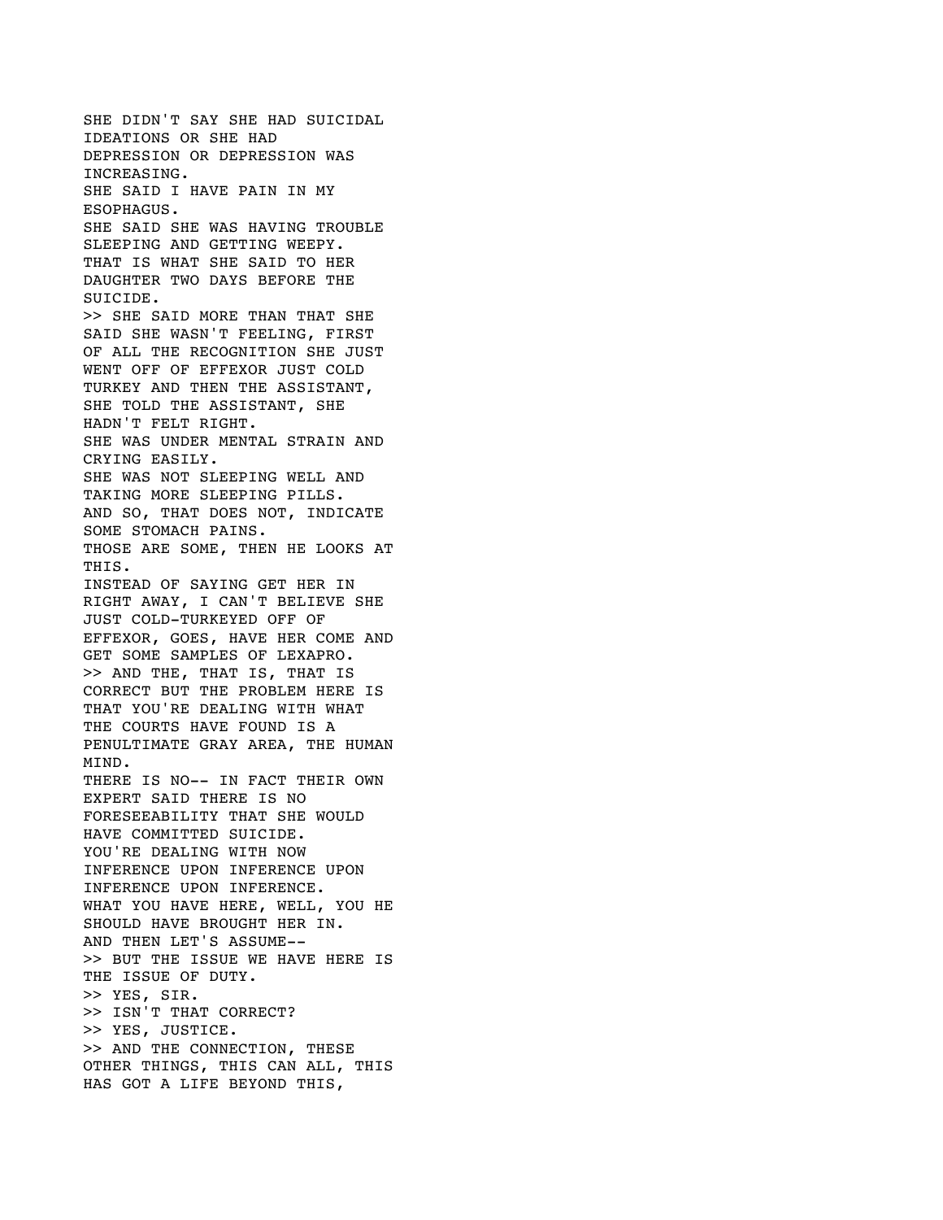SHE DIDN'T SAY SHE HAD SUICIDAL IDEATIONS OR SHE HAD DEPRESSION OR DEPRESSION WAS INCREASING. SHE SAID I HAVE PAIN IN MY ESOPHAGUS. SHE SAID SHE WAS HAVING TROUBLE SLEEPING AND GETTING WEEPY. THAT IS WHAT SHE SAID TO HER DAUGHTER TWO DAYS BEFORE THE SUICIDE. >> SHE SAID MORE THAN THAT SHE SAID SHE WASN'T FEELING, FIRST OF ALL THE RECOGNITION SHE JUST WENT OFF OF EFFEXOR JUST COLD TURKEY AND THEN THE ASSISTANT, SHE TOLD THE ASSISTANT, SHE HADN'T FELT RIGHT. SHE WAS UNDER MENTAL STRAIN AND CRYING EASILY. SHE WAS NOT SLEEPING WELL AND TAKING MORE SLEEPING PILLS. AND SO, THAT DOES NOT, INDICATE SOME STOMACH PAINS. THOSE ARE SOME, THEN HE LOOKS AT THIS. INSTEAD OF SAYING GET HER IN RIGHT AWAY, I CAN'T BELIEVE SHE JUST COLD-TURKEYED OFF OF EFFEXOR, GOES, HAVE HER COME AND GET SOME SAMPLES OF LEXAPRO. >> AND THE, THAT IS, THAT IS CORRECT BUT THE PROBLEM HERE IS THAT YOU'RE DEALING WITH WHAT THE COURTS HAVE FOUND IS A PENULTIMATE GRAY AREA, THE HUMAN MIND. THERE IS NO-- IN FACT THEIR OWN EXPERT SAID THERE IS NO FORESEEABILITY THAT SHE WOULD HAVE COMMITTED SUICIDE. YOU'RE DEALING WITH NOW INFERENCE UPON INFERENCE UPON INFERENCE UPON INFERENCE. WHAT YOU HAVE HERE, WELL, YOU HE SHOULD HAVE BROUGHT HER IN. AND THEN LET'S ASSUME-- >> BUT THE ISSUE WE HAVE HERE IS THE ISSUE OF DUTY. >> YES, SIR. >> ISN'T THAT CORRECT? >> YES, JUSTICE. >> AND THE CONNECTION, THESE OTHER THINGS, THIS CAN ALL, THIS HAS GOT A LIFE BEYOND THIS,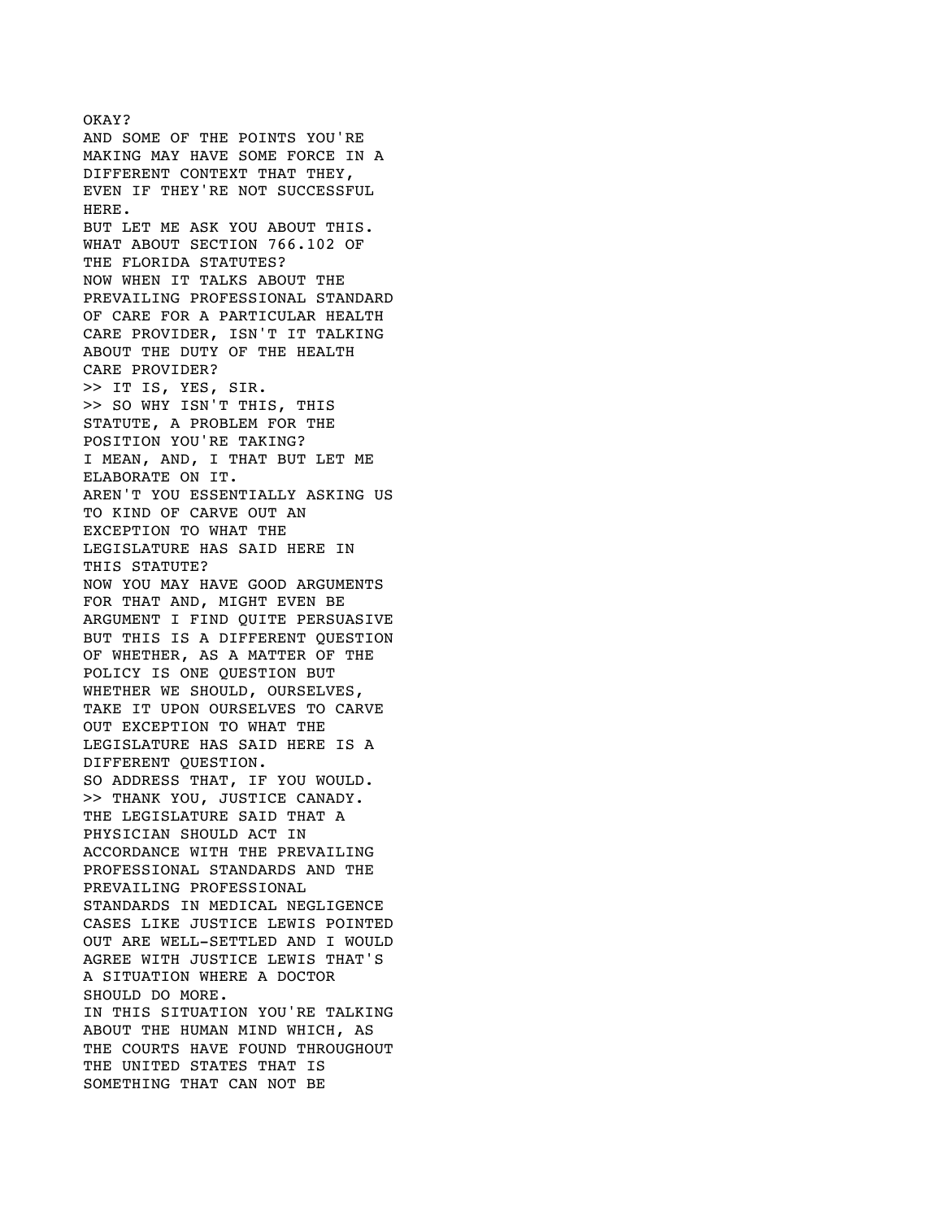AND SOME OF THE POINTS YOU'RE MAKING MAY HAVE SOME FORCE IN A DIFFERENT CONTEXT THAT THEY, EVEN IF THEY'RE NOT SUCCESSFUL HERE. BUT LET ME ASK YOU ABOUT THIS. WHAT ABOUT SECTION 766.102 OF THE FLORIDA STATUTES? NOW WHEN IT TALKS ABOUT THE PREVAILING PROFESSIONAL STANDARD OF CARE FOR A PARTICULAR HEALTH CARE PROVIDER, ISN'T IT TALKING ABOUT THE DUTY OF THE HEALTH CARE PROVIDER? >> IT IS, YES, SIR. >> SO WHY ISN'T THIS, THIS STATUTE, A PROBLEM FOR THE POSITION YOU'RE TAKING? I MEAN, AND, I THAT BUT LET ME ELABORATE ON IT. AREN'T YOU ESSENTIALLY ASKING US TO KIND OF CARVE OUT AN EXCEPTION TO WHAT THE LEGISLATURE HAS SAID HERE IN THIS STATUTE? NOW YOU MAY HAVE GOOD ARGUMENTS FOR THAT AND, MIGHT EVEN BE ARGUMENT I FIND QUITE PERSUASIVE BUT THIS IS A DIFFERENT QUESTION OF WHETHER, AS A MATTER OF THE POLICY IS ONE QUESTION BUT WHETHER WE SHOULD, OURSELVES, TAKE IT UPON OURSELVES TO CARVE OUT EXCEPTION TO WHAT THE LEGISLATURE HAS SAID HERE IS A DIFFERENT QUESTION. SO ADDRESS THAT, IF YOU WOULD. >> THANK YOU, JUSTICE CANADY. THE LEGISLATURE SAID THAT A PHYSICIAN SHOULD ACT IN ACCORDANCE WITH THE PREVAILING PROFESSIONAL STANDARDS AND THE PREVAILING PROFESSIONAL STANDARDS IN MEDICAL NEGLIGENCE CASES LIKE JUSTICE LEWIS POINTED OUT ARE WELL-SETTLED AND I WOULD AGREE WITH JUSTICE LEWIS THAT'S A SITUATION WHERE A DOCTOR SHOULD DO MORE. IN THIS SITUATION YOU'RE TALKING ABOUT THE HUMAN MIND WHICH, AS THE COURTS HAVE FOUND THROUGHOUT THE UNITED STATES THAT IS SOMETHING THAT CAN NOT BE

OKAY?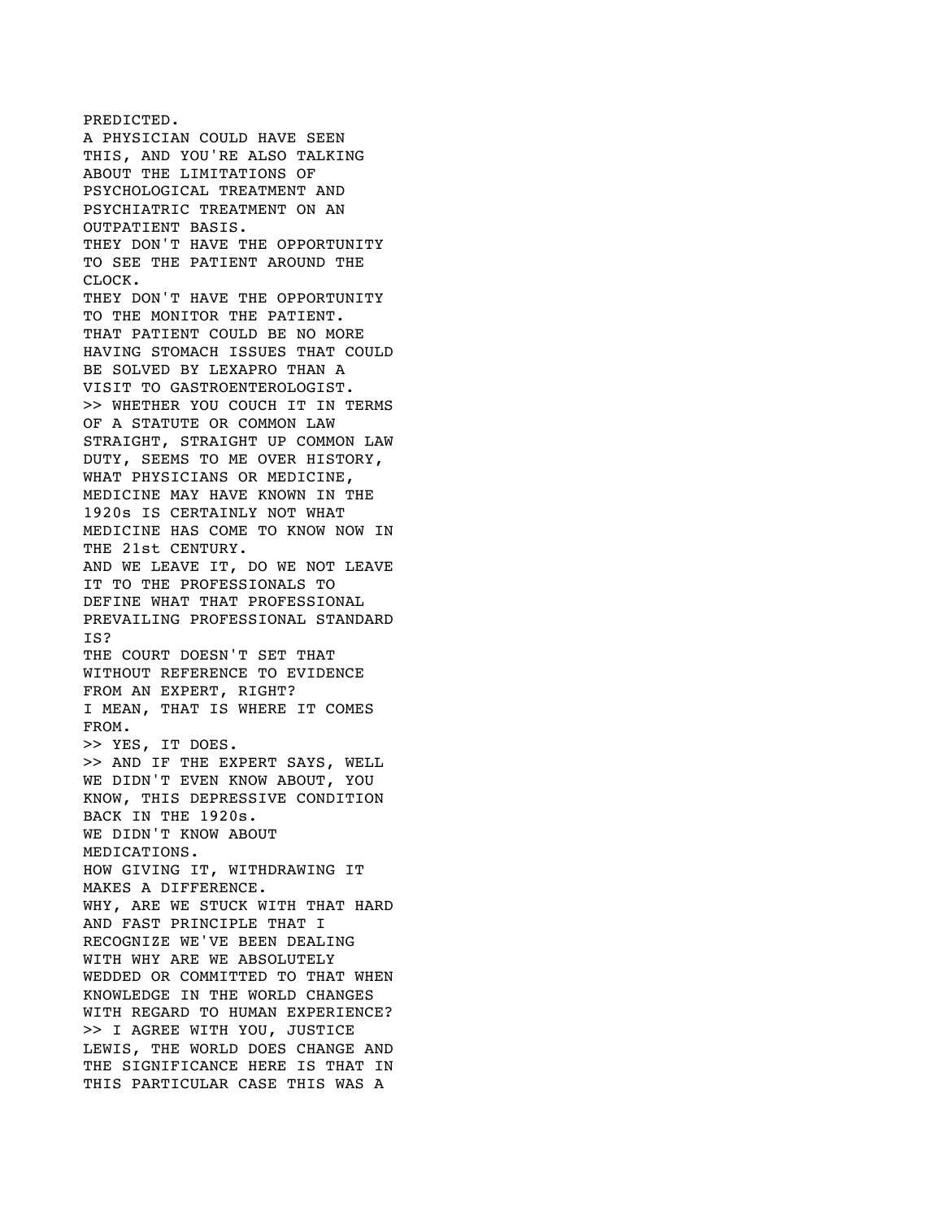PREDICTED. A PHYSICIAN COULD HAVE SEEN THIS, AND YOU'RE ALSO TALKING ABOUT THE LIMITATIONS OF PSYCHOLOGICAL TREATMENT AND PSYCHIATRIC TREATMENT ON AN OUTPATIENT BASIS. THEY DON'T HAVE THE OPPORTUNITY TO SEE THE PATIENT AROUND THE CLOCK. THEY DON'T HAVE THE OPPORTUNITY TO THE MONITOR THE PATIENT. THAT PATIENT COULD BE NO MORE HAVING STOMACH ISSUES THAT COULD BE SOLVED BY LEXAPRO THAN A VISIT TO GASTROENTEROLOGIST. >> WHETHER YOU COUCH IT IN TERMS OF A STATUTE OR COMMON LAW STRAIGHT, STRAIGHT UP COMMON LAW DUTY, SEEMS TO ME OVER HISTORY, WHAT PHYSICIANS OR MEDICINE, MEDICINE MAY HAVE KNOWN IN THE 1920s IS CERTAINLY NOT WHAT MEDICINE HAS COME TO KNOW NOW IN THE 21st CENTURY. AND WE LEAVE IT, DO WE NOT LEAVE IT TO THE PROFESSIONALS TO DEFINE WHAT THAT PROFESSIONAL PREVAILING PROFESSIONAL STANDARD IS? THE COURT DOESN'T SET THAT WITHOUT REFERENCE TO EVIDENCE FROM AN EXPERT, RIGHT? I MEAN, THAT IS WHERE IT COMES FROM. >> YES, IT DOES. >> AND IF THE EXPERT SAYS, WELL WE DIDN'T EVEN KNOW ABOUT, YOU KNOW, THIS DEPRESSIVE CONDITION BACK IN THE 1920s. WE DIDN'T KNOW ABOUT MEDICATIONS. HOW GIVING IT, WITHDRAWING IT MAKES A DIFFERENCE. WHY, ARE WE STUCK WITH THAT HARD AND FAST PRINCIPLE THAT I RECOGNIZE WE'VE BEEN DEALING WITH WHY ARE WE ABSOLUTELY WEDDED OR COMMITTED TO THAT WHEN KNOWLEDGE IN THE WORLD CHANGES WITH REGARD TO HUMAN EXPERIENCE? >> I AGREE WITH YOU, JUSTICE LEWIS, THE WORLD DOES CHANGE AND THE SIGNIFICANCE HERE IS THAT IN THIS PARTICULAR CASE THIS WAS A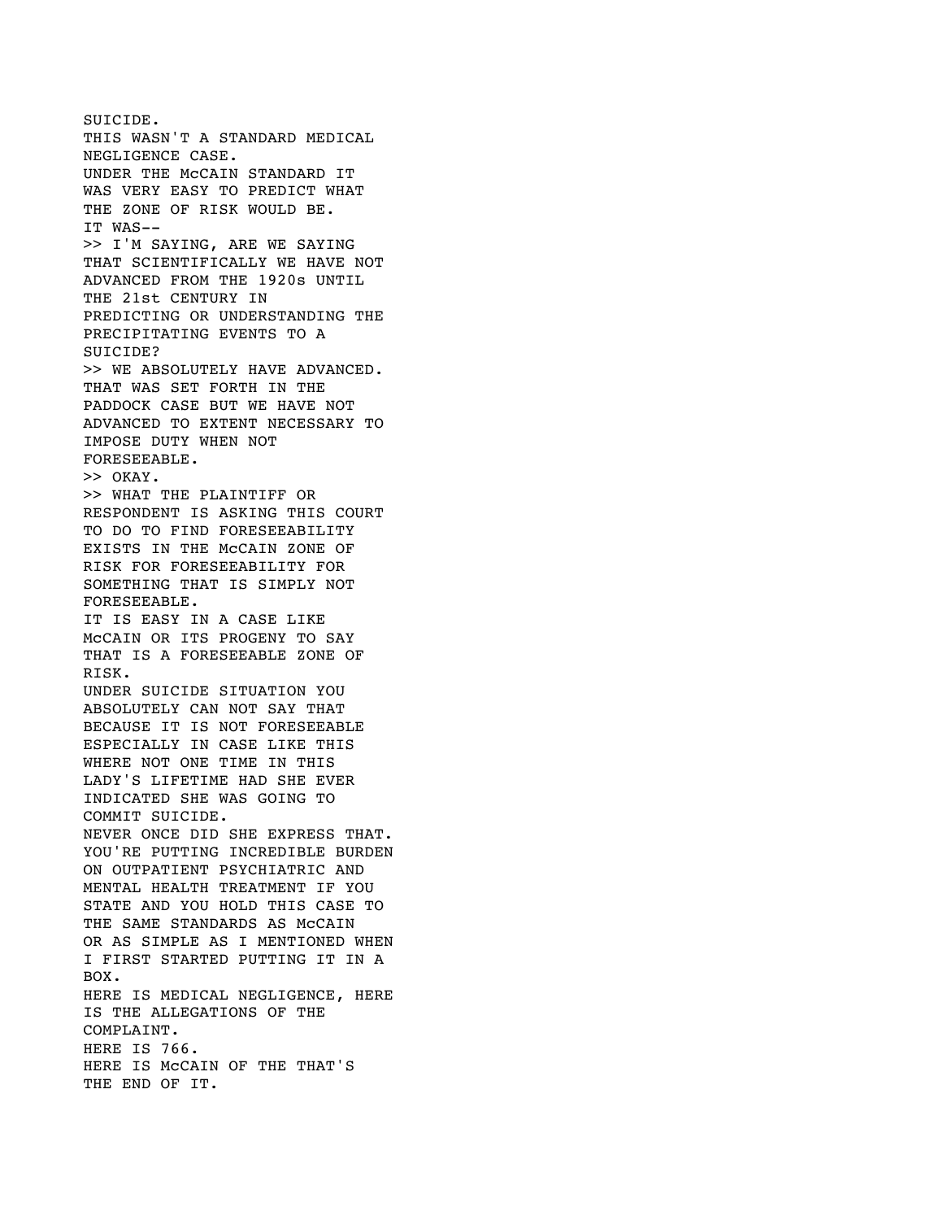SUICIDE. THIS WASN'T A STANDARD MEDICAL NEGLIGENCE CASE. UNDER THE McCAIN STANDARD IT WAS VERY EASY TO PREDICT WHAT THE ZONE OF RISK WOULD BE. IT WAS-- >> I'M SAYING, ARE WE SAYING THAT SCIENTIFICALLY WE HAVE NOT ADVANCED FROM THE 1920s UNTIL THE 21st CENTURY IN PREDICTING OR UNDERSTANDING THE PRECIPITATING EVENTS TO A SUICIDE? >> WE ABSOLUTELY HAVE ADVANCED. THAT WAS SET FORTH IN THE PADDOCK CASE BUT WE HAVE NOT ADVANCED TO EXTENT NECESSARY TO IMPOSE DUTY WHEN NOT FORESEEABLE. >> OKAY. >> WHAT THE PLAINTIFF OR RESPONDENT IS ASKING THIS COURT TO DO TO FIND FORESEEABILITY EXISTS IN THE McCAIN ZONE OF RISK FOR FORESEEABILITY FOR SOMETHING THAT IS SIMPLY NOT FORESEEABLE. IT IS EASY IN A CASE LIKE McCAIN OR ITS PROGENY TO SAY THAT IS A FORESEEABLE ZONE OF RISK. UNDER SUICIDE SITUATION YOU ABSOLUTELY CAN NOT SAY THAT BECAUSE IT IS NOT FORESEEABLE ESPECIALLY IN CASE LIKE THIS WHERE NOT ONE TIME IN THIS LADY'S LIFETIME HAD SHE EVER INDICATED SHE WAS GOING TO COMMIT SUICIDE. NEVER ONCE DID SHE EXPRESS THAT. YOU'RE PUTTING INCREDIBLE BURDEN ON OUTPATIENT PSYCHIATRIC AND MENTAL HEALTH TREATMENT IF YOU STATE AND YOU HOLD THIS CASE TO THE SAME STANDARDS AS MCCAIN OR AS SIMPLE AS I MENTIONED WHEN I FIRST STARTED PUTTING IT IN A BOX. HERE IS MEDICAL NEGLIGENCE, HERE IS THE ALLEGATIONS OF THE COMPLAINT. HERE IS 766. HERE IS McCAIN OF THE THAT'S THE END OF IT.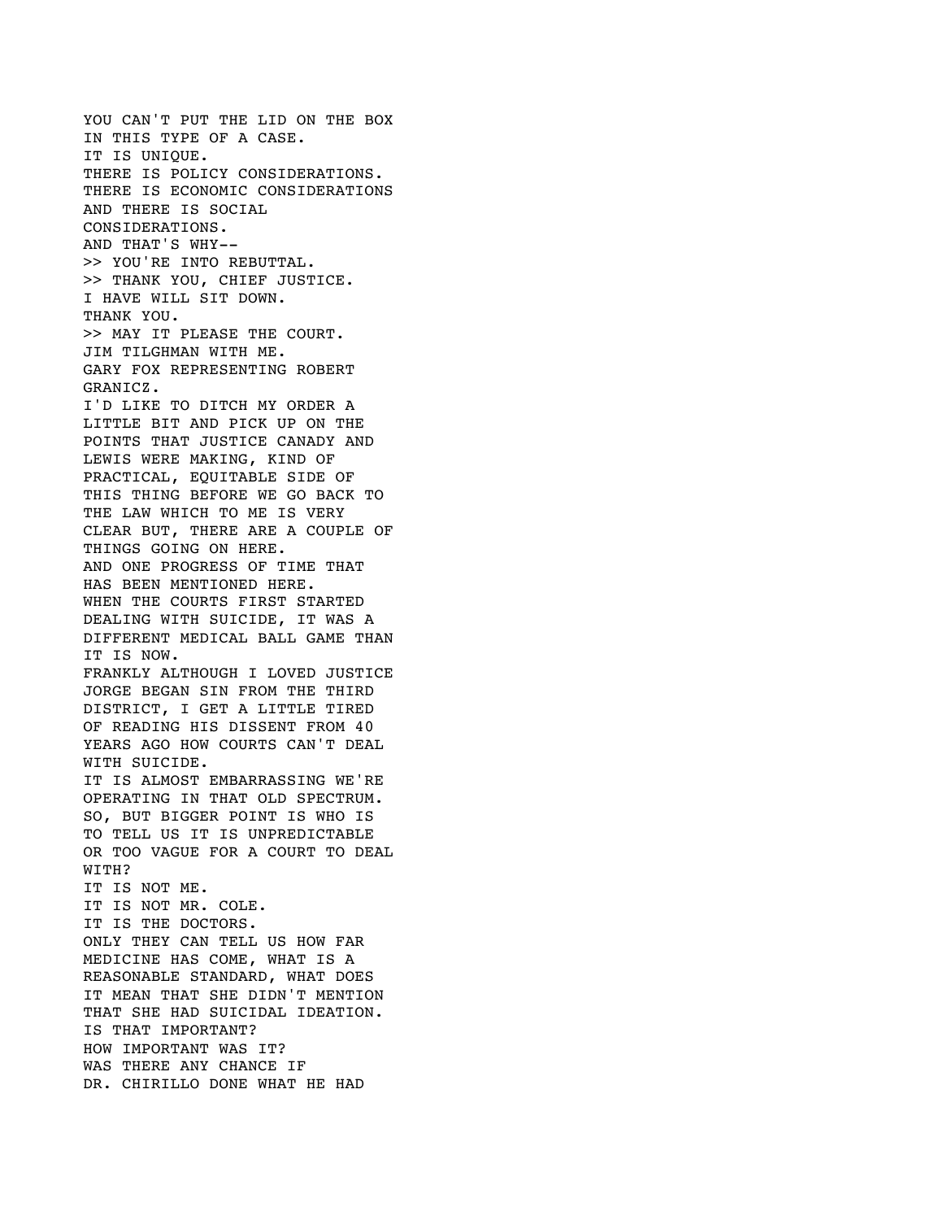YOU CAN'T PUT THE LID ON THE BOX IN THIS TYPE OF A CASE. IT IS UNIQUE. THERE IS POLICY CONSIDERATIONS. THERE IS ECONOMIC CONSIDERATIONS AND THERE IS SOCIAL CONSIDERATIONS. AND THAT'S WHY-- >> YOU'RE INTO REBUTTAL. >> THANK YOU, CHIEF JUSTICE. I HAVE WILL SIT DOWN. THANK YOU. >> MAY IT PLEASE THE COURT. JIM TILGHMAN WITH ME. GARY FOX REPRESENTING ROBERT GRANICZ. I'D LIKE TO DITCH MY ORDER A LITTLE BIT AND PICK UP ON THE POINTS THAT JUSTICE CANADY AND LEWIS WERE MAKING, KIND OF PRACTICAL, EQUITABLE SIDE OF THIS THING BEFORE WE GO BACK TO THE LAW WHICH TO ME IS VERY CLEAR BUT, THERE ARE A COUPLE OF THINGS GOING ON HERE. AND ONE PROGRESS OF TIME THAT HAS BEEN MENTIONED HERE. WHEN THE COURTS FIRST STARTED DEALING WITH SUICIDE, IT WAS A DIFFERENT MEDICAL BALL GAME THAN IT IS NOW. FRANKLY ALTHOUGH I LOVED JUSTICE JORGE BEGAN SIN FROM THE THIRD DISTRICT, I GET A LITTLE TIRED OF READING HIS DISSENT FROM 40 YEARS AGO HOW COURTS CAN'T DEAL WITH SUICIDE. IT IS ALMOST EMBARRASSING WE'RE OPERATING IN THAT OLD SPECTRUM. SO, BUT BIGGER POINT IS WHO IS TO TELL US IT IS UNPREDICTABLE OR TOO VAGUE FOR A COURT TO DEAL WITH? IT IS NOT ME. IT IS NOT MR. COLE. IT IS THE DOCTORS. ONLY THEY CAN TELL US HOW FAR MEDICINE HAS COME, WHAT IS A REASONABLE STANDARD, WHAT DOES IT MEAN THAT SHE DIDN'T MENTION THAT SHE HAD SUICIDAL IDEATION. IS THAT IMPORTANT? HOW IMPORTANT WAS IT? WAS THERE ANY CHANCE IF DR. CHIRILLO DONE WHAT HE HAD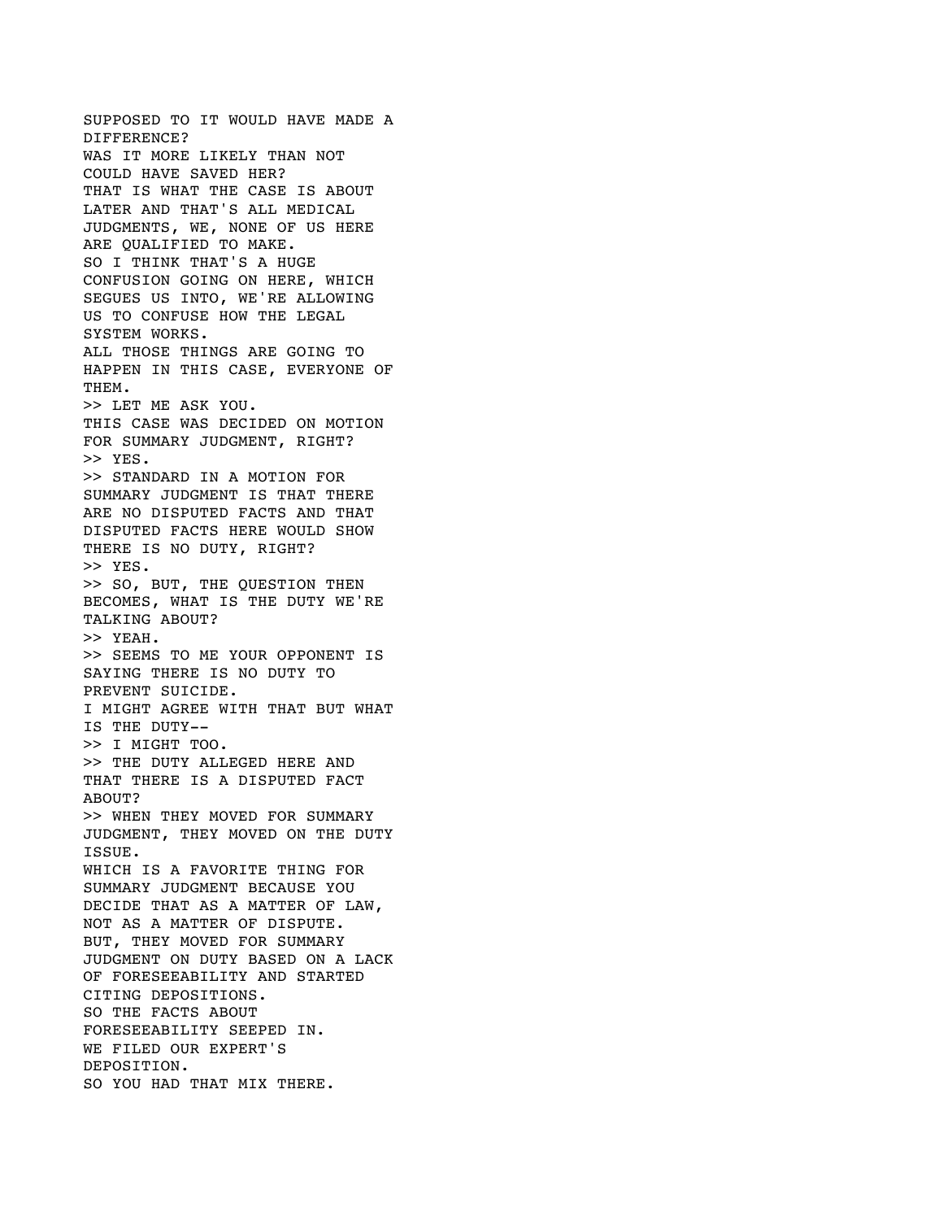SUPPOSED TO IT WOULD HAVE MADE A DIFFERENCE? WAS IT MORE LIKELY THAN NOT COULD HAVE SAVED HER? THAT IS WHAT THE CASE IS ABOUT LATER AND THAT'S ALL MEDICAL JUDGMENTS, WE, NONE OF US HERE ARE QUALIFIED TO MAKE. SO I THINK THAT'S A HUGE CONFUSION GOING ON HERE, WHICH SEGUES US INTO, WE'RE ALLOWING US TO CONFUSE HOW THE LEGAL SYSTEM WORKS. ALL THOSE THINGS ARE GOING TO HAPPEN IN THIS CASE, EVERYONE OF THEM. >> LET ME ASK YOU. THIS CASE WAS DECIDED ON MOTION FOR SUMMARY JUDGMENT, RIGHT? >> YES. >> STANDARD IN A MOTION FOR SUMMARY JUDGMENT IS THAT THERE ARE NO DISPUTED FACTS AND THAT DISPUTED FACTS HERE WOULD SHOW THERE IS NO DUTY, RIGHT? >> YES. >> SO, BUT, THE QUESTION THEN BECOMES, WHAT IS THE DUTY WE'RE TALKING ABOUT? >> YEAH. >> SEEMS TO ME YOUR OPPONENT IS SAYING THERE IS NO DUTY TO PREVENT SUICIDE. I MIGHT AGREE WITH THAT BUT WHAT IS THE DUTY-- >> I MIGHT TOO. >> THE DUTY ALLEGED HERE AND THAT THERE IS A DISPUTED FACT ABOUT? >> WHEN THEY MOVED FOR SUMMARY JUDGMENT, THEY MOVED ON THE DUTY ISSUE. WHICH IS A FAVORITE THING FOR SUMMARY JUDGMENT BECAUSE YOU DECIDE THAT AS A MATTER OF LAW, NOT AS A MATTER OF DISPUTE. BUT, THEY MOVED FOR SUMMARY JUDGMENT ON DUTY BASED ON A LACK OF FORESEEABILITY AND STARTED CITING DEPOSITIONS. SO THE FACTS ABOUT FORESEEABILITY SEEPED IN. WE FILED OUR EXPERT'S DEPOSITION. SO YOU HAD THAT MIX THERE.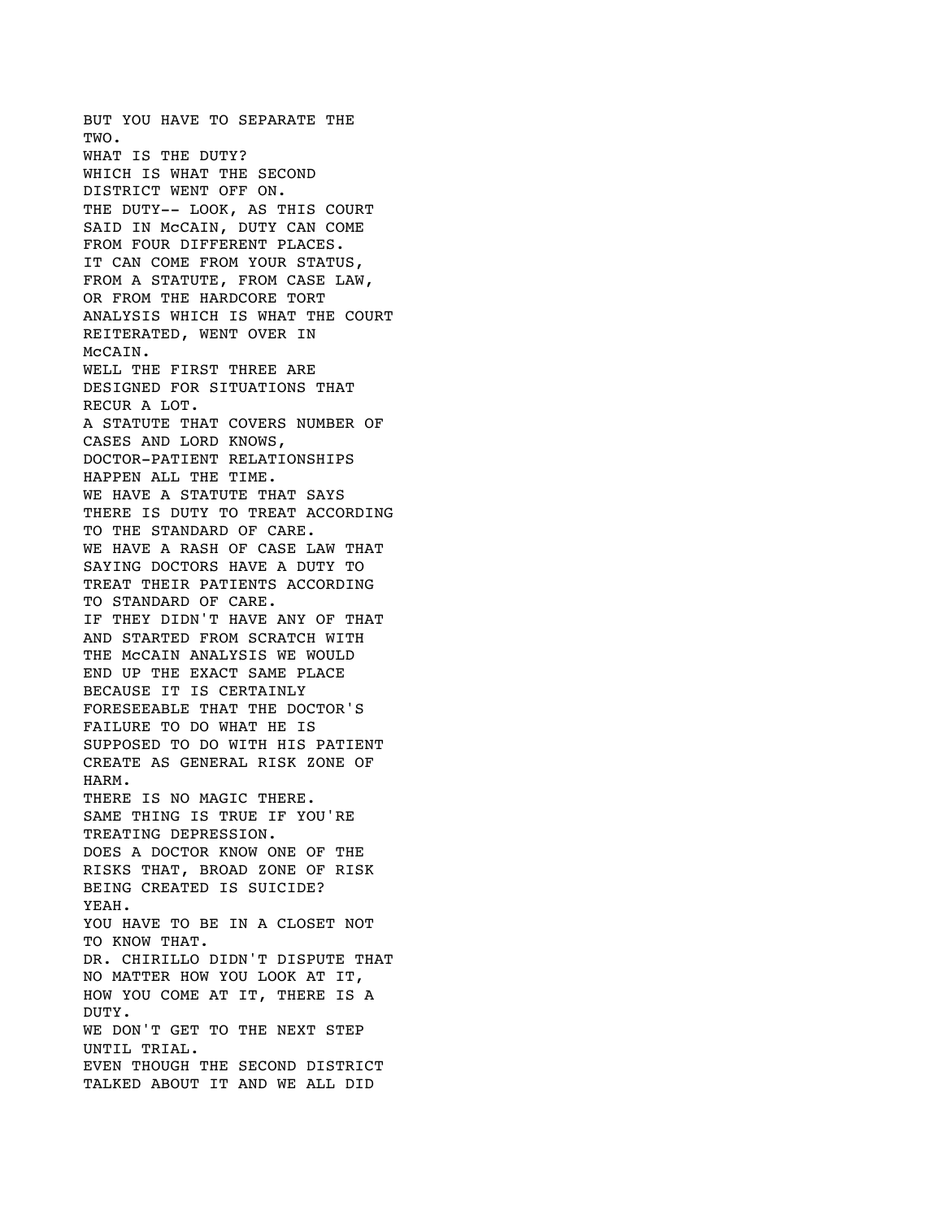BUT YOU HAVE TO SEPARATE THE TWO. WHAT IS THE DUTY? WHICH IS WHAT THE SECOND DISTRICT WENT OFF ON. THE DUTY-- LOOK, AS THIS COURT SAID IN McCAIN, DUTY CAN COME FROM FOUR DIFFERENT PLACES. IT CAN COME FROM YOUR STATUS, FROM A STATUTE, FROM CASE LAW, OR FROM THE HARDCORE TORT ANALYSIS WHICH IS WHAT THE COURT REITERATED, WENT OVER IN McCAIN. WELL THE FIRST THREE ARE DESIGNED FOR SITUATIONS THAT RECUR A LOT. A STATUTE THAT COVERS NUMBER OF CASES AND LORD KNOWS, DOCTOR-PATIENT RELATIONSHIPS HAPPEN ALL THE TIME. WE HAVE A STATUTE THAT SAYS THERE IS DUTY TO TREAT ACCORDING TO THE STANDARD OF CARE. WE HAVE A RASH OF CASE LAW THAT SAYING DOCTORS HAVE A DUTY TO TREAT THEIR PATIENTS ACCORDING TO STANDARD OF CARE. IF THEY DIDN'T HAVE ANY OF THAT AND STARTED FROM SCRATCH WITH THE McCAIN ANALYSIS WE WOULD END UP THE EXACT SAME PLACE BECAUSE IT IS CERTAINLY FORESEEABLE THAT THE DOCTOR'S FAILURE TO DO WHAT HE IS SUPPOSED TO DO WITH HIS PATIENT CREATE AS GENERAL RISK ZONE OF HARM. THERE IS NO MAGIC THERE. SAME THING IS TRUE IF YOU'RE TREATING DEPRESSION. DOES A DOCTOR KNOW ONE OF THE RISKS THAT, BROAD ZONE OF RISK BEING CREATED IS SUICIDE? YEAH. YOU HAVE TO BE IN A CLOSET NOT TO KNOW THAT. DR. CHIRILLO DIDN'T DISPUTE THAT NO MATTER HOW YOU LOOK AT IT, HOW YOU COME AT IT, THERE IS A DUTY. WE DON'T GET TO THE NEXT STEP UNTIL TRIAL. EVEN THOUGH THE SECOND DISTRICT TALKED ABOUT IT AND WE ALL DID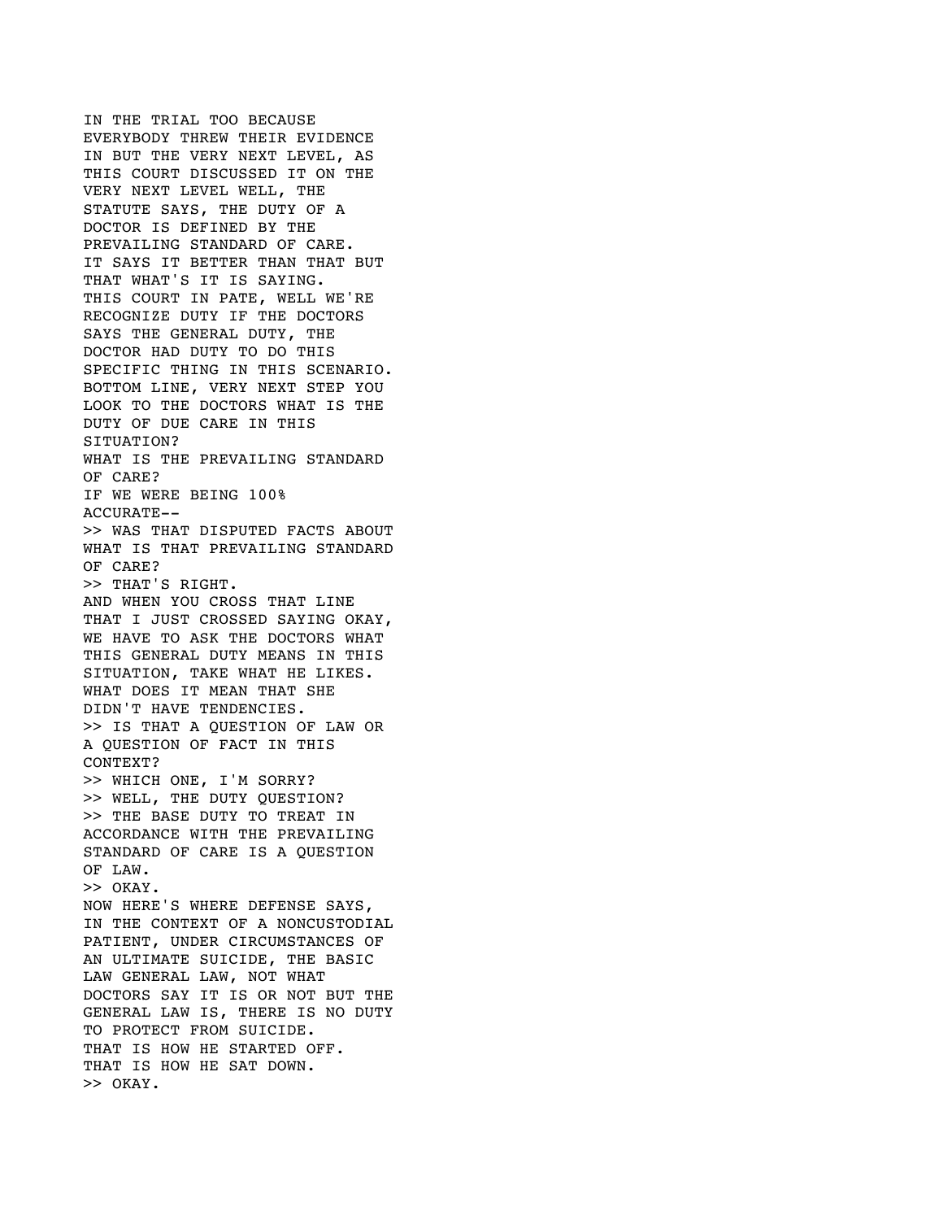IN THE TRIAL TOO BECAUSE EVERYBODY THREW THEIR EVIDENCE IN BUT THE VERY NEXT LEVEL, AS THIS COURT DISCUSSED IT ON THE VERY NEXT LEVEL WELL, THE STATUTE SAYS, THE DUTY OF A DOCTOR IS DEFINED BY THE PREVAILING STANDARD OF CARE. IT SAYS IT BETTER THAN THAT BUT THAT WHAT'S IT IS SAYING. THIS COURT IN PATE, WELL WE'RE RECOGNIZE DUTY IF THE DOCTORS SAYS THE GENERAL DUTY, THE DOCTOR HAD DUTY TO DO THIS SPECIFIC THING IN THIS SCENARIO. BOTTOM LINE, VERY NEXT STEP YOU LOOK TO THE DOCTORS WHAT IS THE DUTY OF DUE CARE IN THIS SITUATION? WHAT IS THE PREVAILING STANDARD OF CARE? IF WE WERE BEING 100% ACCURATE-- >> WAS THAT DISPUTED FACTS ABOUT WHAT IS THAT PREVAILING STANDARD OF CARE? >> THAT'S RIGHT. AND WHEN YOU CROSS THAT LINE THAT I JUST CROSSED SAYING OKAY, WE HAVE TO ASK THE DOCTORS WHAT THIS GENERAL DUTY MEANS IN THIS SITUATION, TAKE WHAT HE LIKES. WHAT DOES IT MEAN THAT SHE DIDN'T HAVE TENDENCIES. >> IS THAT A QUESTION OF LAW OR A QUESTION OF FACT IN THIS CONTEXT? >> WHICH ONE, I'M SORRY? >> WELL, THE DUTY QUESTION? >> THE BASE DUTY TO TREAT IN ACCORDANCE WITH THE PREVAILING STANDARD OF CARE IS A QUESTION OF LAW. >> OKAY. NOW HERE'S WHERE DEFENSE SAYS, IN THE CONTEXT OF A NONCUSTODIAL PATIENT, UNDER CIRCUMSTANCES OF AN ULTIMATE SUICIDE, THE BASIC LAW GENERAL LAW, NOT WHAT DOCTORS SAY IT IS OR NOT BUT THE GENERAL LAW IS, THERE IS NO DUTY TO PROTECT FROM SUICIDE. THAT IS HOW HE STARTED OFF. THAT IS HOW HE SAT DOWN. >> OKAY.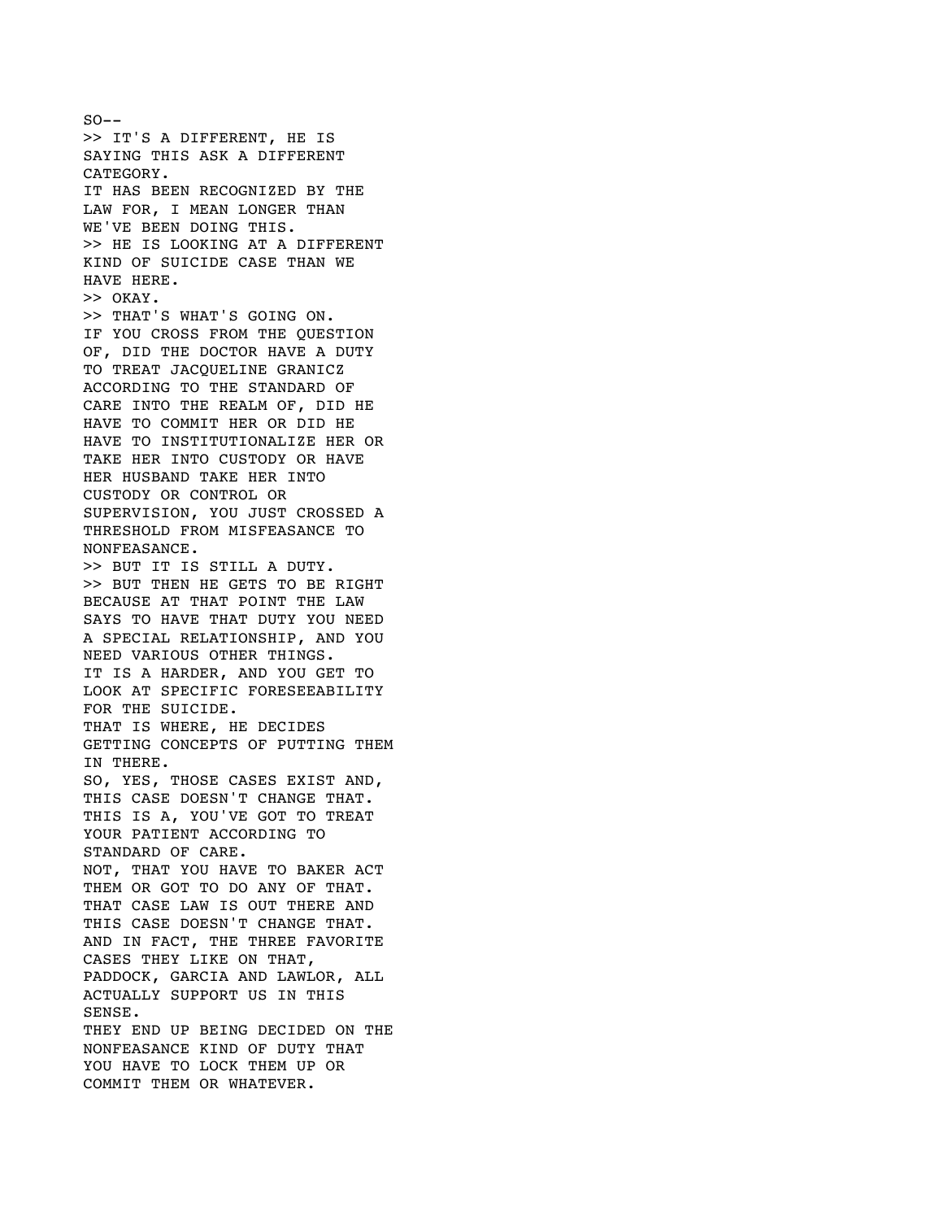$SO - -$ >> IT'S A DIFFERENT, HE IS SAYING THIS ASK A DIFFERENT CATEGORY. IT HAS BEEN RECOGNIZED BY THE LAW FOR, I MEAN LONGER THAN WE'VE BEEN DOING THIS. >> HE IS LOOKING AT A DIFFERENT KIND OF SUICIDE CASE THAN WE HAVE HERE. >> OKAY. >> THAT'S WHAT'S GOING ON. IF YOU CROSS FROM THE QUESTION OF, DID THE DOCTOR HAVE A DUTY TO TREAT JACQUELINE GRANICZ ACCORDING TO THE STANDARD OF CARE INTO THE REALM OF, DID HE HAVE TO COMMIT HER OR DID HE HAVE TO INSTITUTIONALIZE HER OR TAKE HER INTO CUSTODY OR HAVE HER HUSBAND TAKE HER INTO CUSTODY OR CONTROL OR SUPERVISION, YOU JUST CROSSED A THRESHOLD FROM MISFEASANCE TO NONFEASANCE. >> BUT IT IS STILL A DUTY. >> BUT THEN HE GETS TO BE RIGHT BECAUSE AT THAT POINT THE LAW SAYS TO HAVE THAT DUTY YOU NEED A SPECIAL RELATIONSHIP, AND YOU NEED VARIOUS OTHER THINGS. IT IS A HARDER, AND YOU GET TO LOOK AT SPECIFIC FORESEEABILITY FOR THE SUICIDE. THAT IS WHERE, HE DECIDES GETTING CONCEPTS OF PUTTING THEM IN THERE. SO, YES, THOSE CASES EXIST AND, THIS CASE DOESN'T CHANGE THAT. THIS IS A, YOU'VE GOT TO TREAT YOUR PATIENT ACCORDING TO STANDARD OF CARE. NOT, THAT YOU HAVE TO BAKER ACT THEM OR GOT TO DO ANY OF THAT. THAT CASE LAW IS OUT THERE AND THIS CASE DOESN'T CHANGE THAT. AND IN FACT, THE THREE FAVORITE CASES THEY LIKE ON THAT, PADDOCK, GARCIA AND LAWLOR, ALL ACTUALLY SUPPORT US IN THIS SENSE. THEY END UP BEING DECIDED ON THE NONFEASANCE KIND OF DUTY THAT YOU HAVE TO LOCK THEM UP OR COMMIT THEM OR WHATEVER.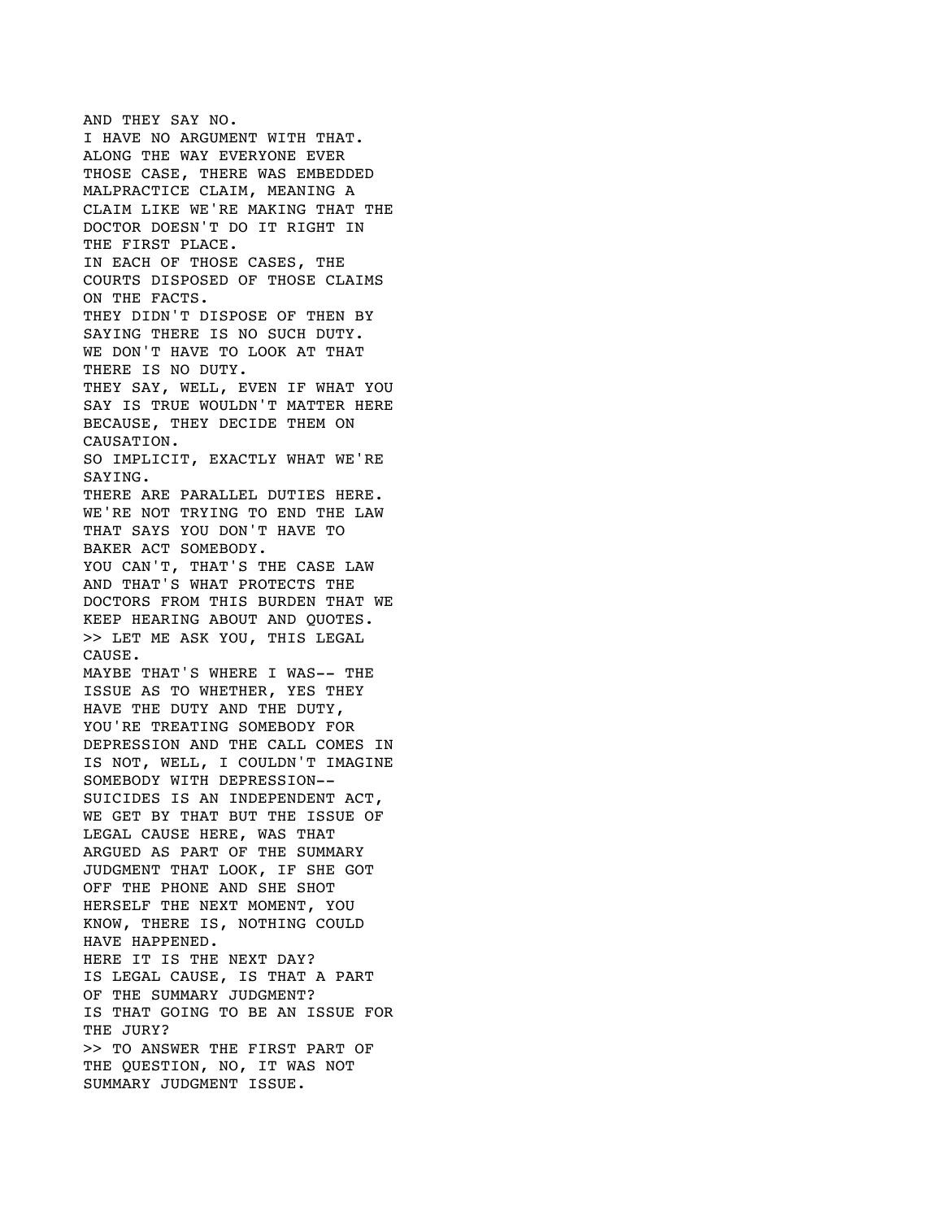AND THEY SAY NO. I HAVE NO ARGUMENT WITH THAT. ALONG THE WAY EVERYONE EVER THOSE CASE, THERE WAS EMBEDDED MALPRACTICE CLAIM, MEANING A CLAIM LIKE WE'RE MAKING THAT THE DOCTOR DOESN'T DO IT RIGHT IN THE FIRST PLACE. IN EACH OF THOSE CASES, THE COURTS DISPOSED OF THOSE CLAIMS ON THE FACTS. THEY DIDN'T DISPOSE OF THEN BY SAYING THERE IS NO SUCH DUTY. WE DON'T HAVE TO LOOK AT THAT THERE IS NO DUTY. THEY SAY, WELL, EVEN IF WHAT YOU SAY IS TRUE WOULDN'T MATTER HERE BECAUSE, THEY DECIDE THEM ON CAUSATION. SO IMPLICIT, EXACTLY WHAT WE'RE SAYING. THERE ARE PARALLEL DUTIES HERE. WE'RE NOT TRYING TO END THE LAW THAT SAYS YOU DON'T HAVE TO BAKER ACT SOMEBODY. YOU CAN'T, THAT'S THE CASE LAW AND THAT'S WHAT PROTECTS THE DOCTORS FROM THIS BURDEN THAT WE KEEP HEARING ABOUT AND QUOTES. >> LET ME ASK YOU, THIS LEGAL CAUSE. MAYBE THAT'S WHERE I WAS-- THE ISSUE AS TO WHETHER, YES THEY HAVE THE DUTY AND THE DUTY, YOU'RE TREATING SOMEBODY FOR DEPRESSION AND THE CALL COMES IN IS NOT, WELL, I COULDN'T IMAGINE SOMEBODY WITH DEPRESSION-- SUICIDES IS AN INDEPENDENT ACT, WE GET BY THAT BUT THE ISSUE OF LEGAL CAUSE HERE, WAS THAT ARGUED AS PART OF THE SUMMARY JUDGMENT THAT LOOK, IF SHE GOT OFF THE PHONE AND SHE SHOT HERSELF THE NEXT MOMENT, YOU KNOW, THERE IS, NOTHING COULD HAVE HAPPENED. HERE IT IS THE NEXT DAY? IS LEGAL CAUSE, IS THAT A PART OF THE SUMMARY JUDGMENT? IS THAT GOING TO BE AN ISSUE FOR THE JURY? >> TO ANSWER THE FIRST PART OF THE QUESTION, NO, IT WAS NOT SUMMARY JUDGMENT ISSUE.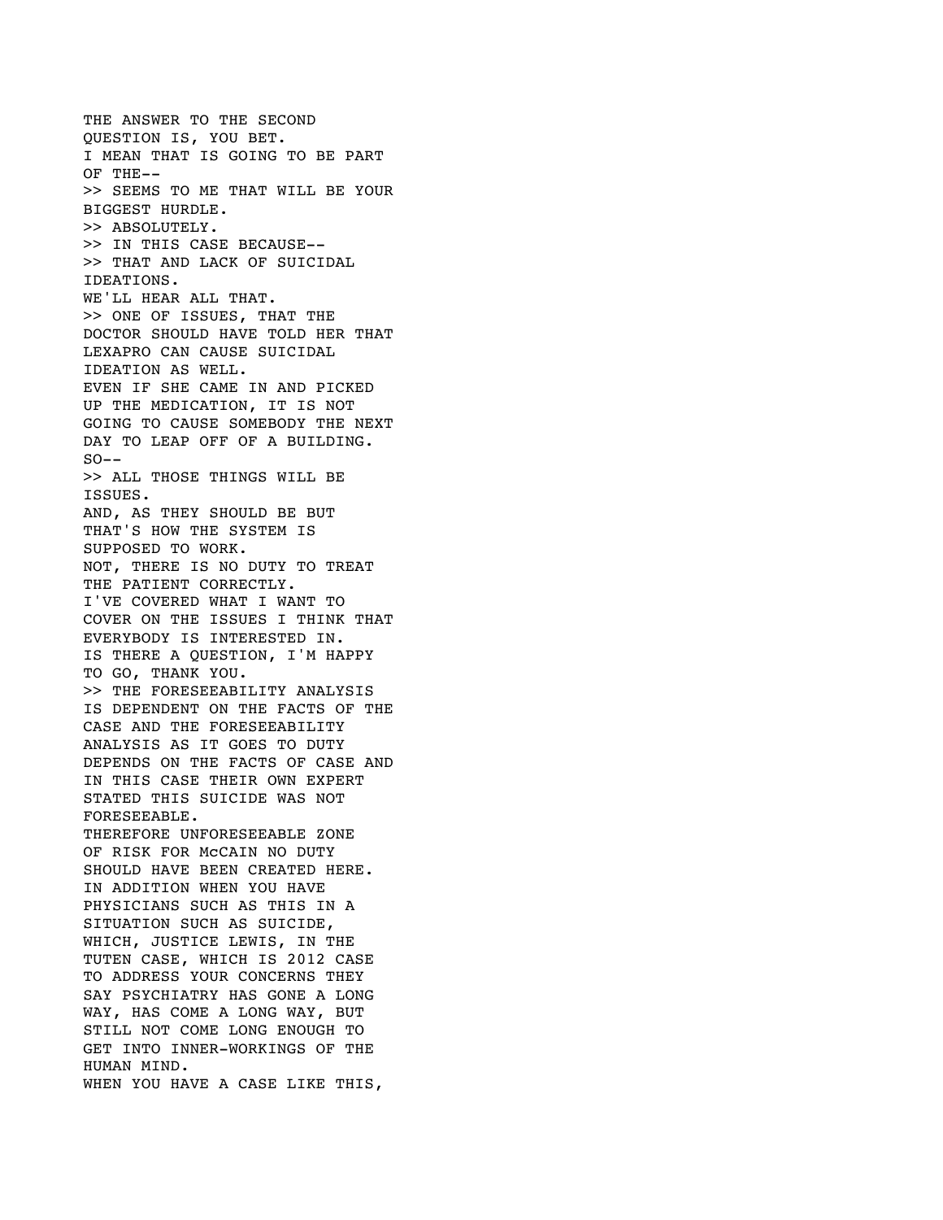THE ANSWER TO THE SECOND QUESTION IS, YOU BET. I MEAN THAT IS GOING TO BE PART OF THE-- >> SEEMS TO ME THAT WILL BE YOUR BIGGEST HURDLE. >> ABSOLUTELY. >> IN THIS CASE BECAUSE-- >> THAT AND LACK OF SUICIDAL IDEATIONS. WE'LL HEAR ALL THAT. >> ONE OF ISSUES, THAT THE DOCTOR SHOULD HAVE TOLD HER THAT LEXAPRO CAN CAUSE SUICIDAL IDEATION AS WELL. EVEN IF SHE CAME IN AND PICKED UP THE MEDICATION, IT IS NOT GOING TO CAUSE SOMEBODY THE NEXT DAY TO LEAP OFF OF A BUILDING.  $SO--$ >> ALL THOSE THINGS WILL BE ISSUES. AND, AS THEY SHOULD BE BUT THAT'S HOW THE SYSTEM IS SUPPOSED TO WORK. NOT, THERE IS NO DUTY TO TREAT THE PATIENT CORRECTLY. I'VE COVERED WHAT I WANT TO COVER ON THE ISSUES I THINK THAT EVERYBODY IS INTERESTED IN. IS THERE A QUESTION, I'M HAPPY TO GO, THANK YOU. >> THE FORESEEABILITY ANALYSIS IS DEPENDENT ON THE FACTS OF THE CASE AND THE FORESEEABILITY ANALYSIS AS IT GOES TO DUTY DEPENDS ON THE FACTS OF CASE AND IN THIS CASE THEIR OWN EXPERT STATED THIS SUICIDE WAS NOT FORESEEABLE. THEREFORE UNFORESEEABLE ZONE OF RISK FOR McCAIN NO DUTY SHOULD HAVE BEEN CREATED HERE. IN ADDITION WHEN YOU HAVE PHYSICIANS SUCH AS THIS IN A SITUATION SUCH AS SUICIDE, WHICH, JUSTICE LEWIS, IN THE TUTEN CASE, WHICH IS 2012 CASE TO ADDRESS YOUR CONCERNS THEY SAY PSYCHIATRY HAS GONE A LONG WAY, HAS COME A LONG WAY, BUT STILL NOT COME LONG ENOUGH TO GET INTO INNER-WORKINGS OF THE HUMAN MIND. WHEN YOU HAVE A CASE LIKE THIS,